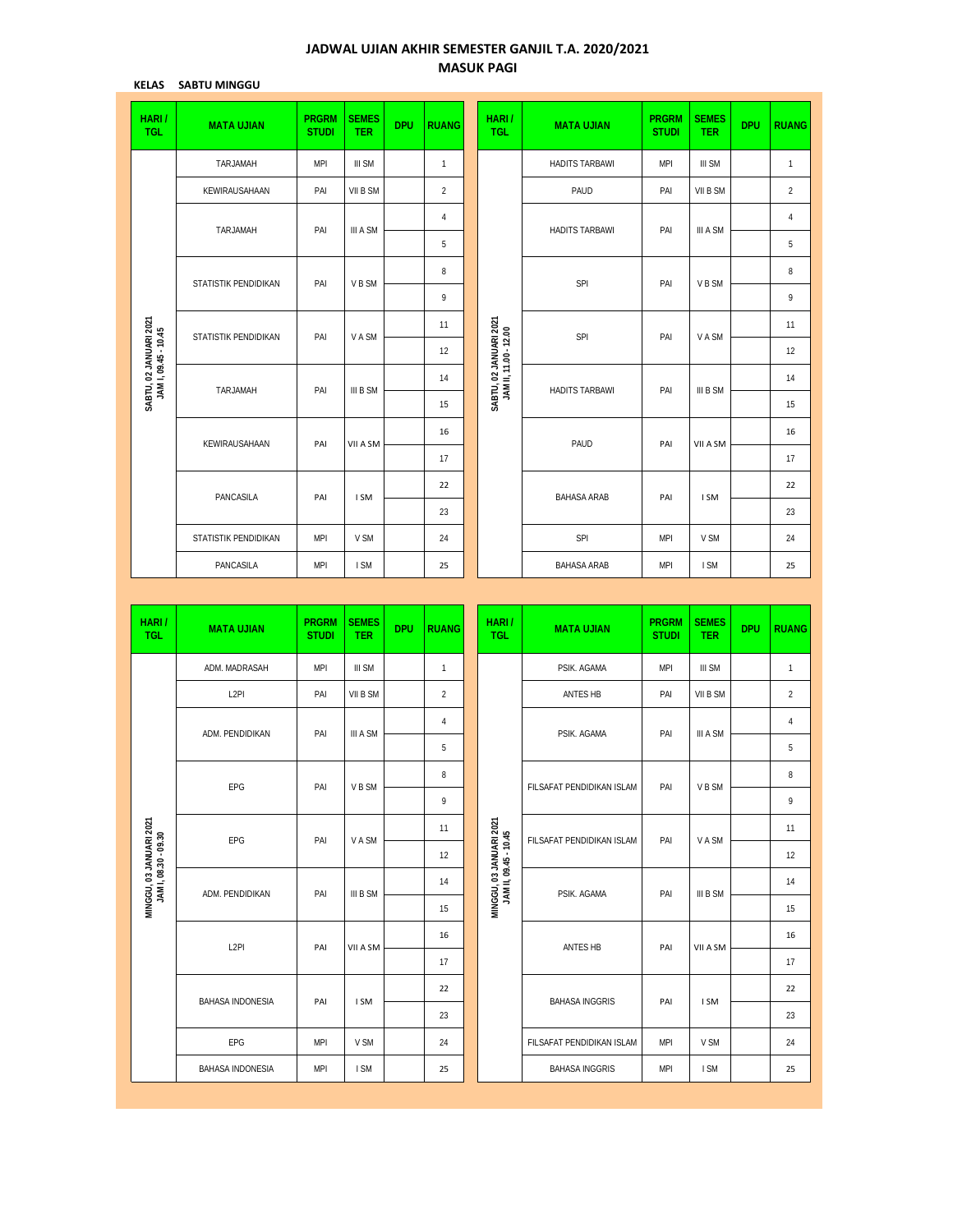## **JADWAL UJIAN AKHIR SEMESTER GANJIL T.A. 2020/2021 MASUK PAGI**

**KELAS SABTU MINGGU**

| HARI/<br><b>TGL</b>                            | <b>MATA UJIAN</b>    | <b>PRGRM</b><br><b>STUDI</b> | <b>SEMES</b><br><b>TER</b> | <b>DPU</b> | <b>RUANG</b>   |  | HARI/<br><b>TGL</b>                             | <b>MATA UJIAN</b>     | <b>PRGRM</b><br><b>STUDI</b> | <b>SEMES</b><br><b>TER</b> | <b>DPU</b> | <b>RUANG</b>   |
|------------------------------------------------|----------------------|------------------------------|----------------------------|------------|----------------|--|-------------------------------------------------|-----------------------|------------------------------|----------------------------|------------|----------------|
|                                                | TARJAMAH             | <b>MPI</b>                   | III SM                     |            | $\mathbf{1}$   |  |                                                 | <b>HADITS TARBAWI</b> | <b>MPI</b>                   | <b>III SM</b>              |            | $\mathbf{1}$   |
|                                                | KEWIRAUSAHAAN        | PAI                          | VII B SM                   |            | $\overline{2}$ |  |                                                 | PAUD                  | PAI                          | VII B SM                   |            | $\overline{2}$ |
|                                                | TARJAMAH             | PAI                          | III A SM                   |            | $\overline{4}$ |  |                                                 | <b>HADITS TARBAWI</b> | PAI                          | III A SM                   |            | $\overline{4}$ |
|                                                |                      |                              |                            |            | 5              |  |                                                 |                       |                              |                            |            | 5              |
|                                                | STATISTIK PENDIDIKAN | PAI                          | V B SM                     |            | 8              |  |                                                 | SPI                   | PAI                          | V B SM                     |            | 8              |
|                                                |                      |                              |                            |            | 9              |  |                                                 |                       |                              |                            |            | 9              |
|                                                | STATISTIK PENDIDIKAN | PAI                          | V A SM                     |            | 11             |  |                                                 | SPI                   | PAI                          | V A SM                     |            | 11             |
|                                                |                      |                              |                            |            | 12             |  | SABTU, 02 JANUARI 2021<br>JAM II, 11.00 - 12.00 |                       |                              |                            |            | 12             |
| SABTU, 02 JANUARI 2021<br>JAM I, 09.45 - 10.45 | TARJAMAH             | PAI                          | III B SM                   |            | 14             |  |                                                 | <b>HADITS TARBAWI</b> | PAI                          | III B SM                   |            | 14             |
|                                                |                      |                              |                            |            | 15             |  |                                                 |                       |                              |                            |            | 15             |
|                                                | KEWIRAUSAHAAN        | PAI                          | VII A SM                   |            | 16             |  |                                                 | PAUD                  | PAI                          | VII A SM                   |            | 16             |
|                                                |                      |                              |                            |            | 17             |  |                                                 |                       |                              |                            |            | 17             |
|                                                | PANCASILA            | PAI                          | I SM                       |            | 22             |  |                                                 | <b>BAHASA ARAB</b>    | PAI                          | I SM                       |            | 22             |
|                                                |                      |                              |                            |            | 23             |  |                                                 |                       |                              |                            |            | 23             |
|                                                | STATISTIK PENDIDIKAN | <b>MPI</b>                   | V SM                       |            | 24             |  |                                                 | SPI                   | <b>MPI</b>                   | V SM                       |            | 24             |
|                                                | PANCASILA            | <b>MPI</b>                   | I SM                       |            | 25             |  |                                                 | <b>BAHASA ARAB</b>    | <b>MPI</b>                   | I SM                       |            | 25             |

| <b>III SM</b><br>VII B SM |                                      | $\mathbf{1}$   |
|---------------------------|--------------------------------------|----------------|
|                           |                                      |                |
|                           |                                      | $\overline{2}$ |
| III A SM                  |                                      | 4              |
|                           |                                      | 5              |
|                           |                                      | 8              |
|                           |                                      | 9              |
|                           |                                      | 11             |
|                           |                                      | 12             |
| III B SM                  |                                      | 14             |
|                           |                                      | 15             |
|                           |                                      | 16             |
|                           |                                      | 17             |
|                           |                                      | 22             |
|                           |                                      | 23             |
| V SM                      |                                      | 24             |
| I SM                      |                                      | 25             |
|                           | V B SM<br>V A SM<br>VII A SM<br>I SM |                |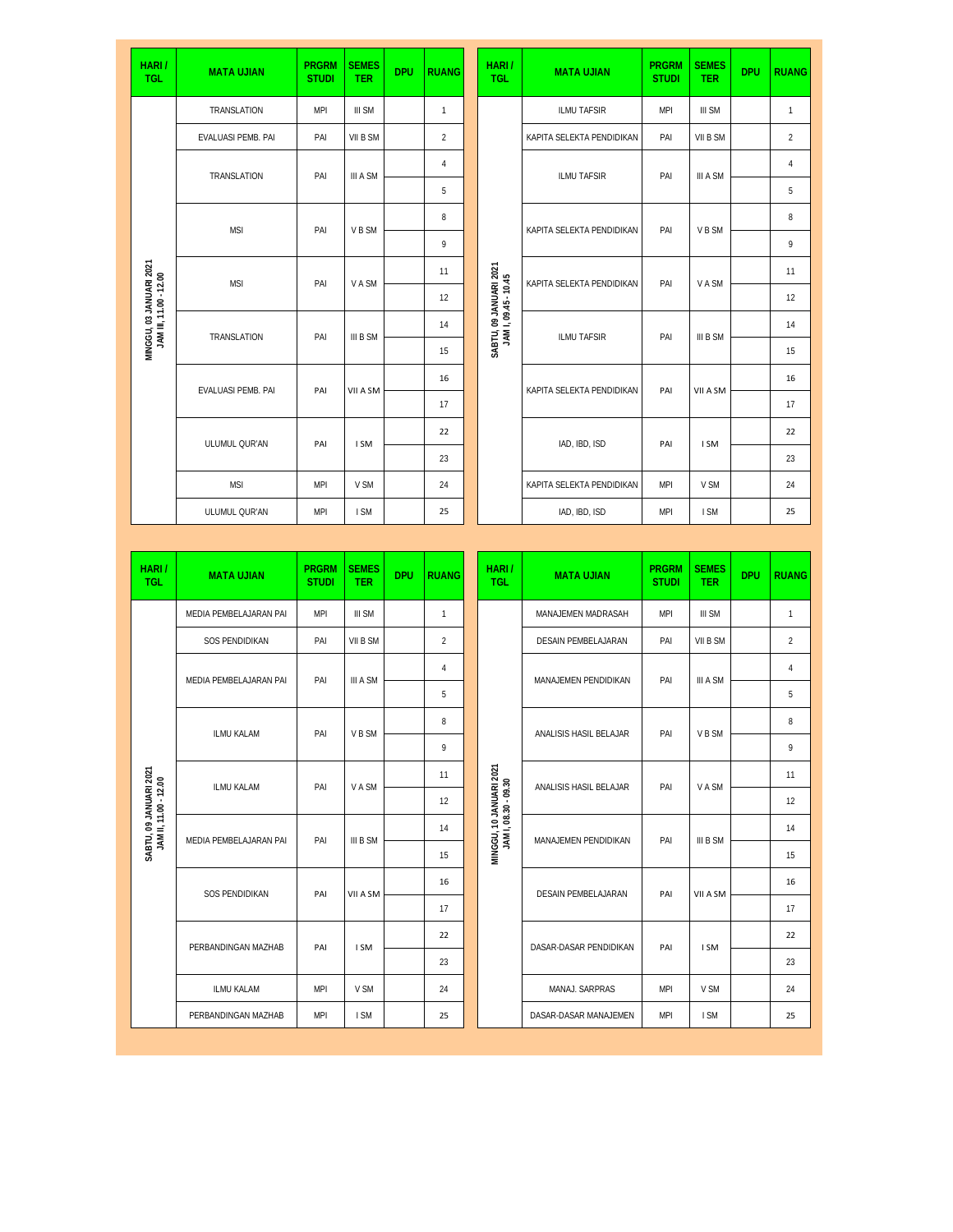| HARI/<br><b>TGL</b>                               | <b>MATA UJIAN</b>      | <b>PRGRM</b><br><b>STUDI</b> | <b>SEMES</b><br><b>TER</b> | <b>DPU</b> | <b>RUANG</b>   | HARI/<br><b>TGL</b>                             | <b>MATA UJIAN</b>         | <b>PRGRM</b><br><b>STUDI</b> | <b>SEMES</b><br><b>TER</b> | <b>DPU</b> | <b>RUANG</b>   |
|---------------------------------------------------|------------------------|------------------------------|----------------------------|------------|----------------|-------------------------------------------------|---------------------------|------------------------------|----------------------------|------------|----------------|
|                                                   | TRANSLATION            | <b>MPI</b>                   | III SM                     |            | 1              |                                                 | ILMU TAFSIR               | <b>MPI</b>                   | III SM                     |            | $\mathbf{1}$   |
|                                                   | EVALUASI PEMB. PAI     | PAI                          | VII B SM                   |            | $\overline{c}$ |                                                 | KAPITA SELEKTA PENDIDIKAN | PAI                          | VII B SM                   |            | $\overline{c}$ |
|                                                   | TRANSLATION            | PAI                          | III A SM                   |            | $\sqrt{4}$     |                                                 | ILMU TAFSIR               | PAI                          | III A SM                   |            | 4              |
|                                                   |                        |                              |                            |            | 5              |                                                 |                           |                              |                            |            | 5              |
|                                                   | <b>MSI</b>             | PAI                          | V B SM                     |            | 8              |                                                 | KAPITA SELEKTA PENDIDIKAN | PAI                          | V B SM                     |            | 8              |
|                                                   |                        |                              |                            |            | 9              |                                                 |                           |                              |                            |            | 9              |
|                                                   | <b>MSI</b>             | PAI                          | V A SM                     |            | 11             |                                                 | KAPITA SELEKTA PENDIDIKAN | PAI                          | V A SM                     |            | 11             |
| MINGGU, 03 JANUARI 2021<br>JAM III, 11.00 - 12.00 |                        |                              |                            |            | 12             | SABTU, 09 JANUARI 2021<br>JAM I, 09.45 - 10.45  |                           |                              |                            |            | 12             |
|                                                   | TRANSLATION            | PAI                          | III B SM                   |            | 14             |                                                 | <b>ILMU TAFSIR</b>        | PAI                          | III B SM                   |            | 14             |
|                                                   |                        |                              |                            |            | 15             |                                                 |                           |                              |                            |            | 15             |
|                                                   | EVALUASI PEMB. PAI     | PAI                          | VII A SM                   |            | 16             |                                                 | KAPITA SELEKTA PENDIDIKAN | PAI                          | VII A SM                   |            | 16             |
|                                                   |                        |                              |                            |            | 17             |                                                 |                           |                              |                            |            | 17             |
|                                                   | ULUMUL QUR'AN          | PAI                          | I SM                       |            | 22             |                                                 | IAD, IBD, ISD             | PAI                          | I SM                       |            | 22             |
|                                                   |                        |                              |                            |            | 23             |                                                 |                           |                              |                            |            | 23             |
|                                                   | <b>MSI</b>             | <b>MPI</b>                   | V SM                       |            | 24             |                                                 | KAPITA SELEKTA PENDIDIKAN | <b>MPI</b>                   | V SM                       |            | 24             |
|                                                   | ULUMUL QUR'AN          | <b>MPI</b>                   | I SM                       |            | 25             |                                                 | IAD, IBD, ISD             | <b>MPI</b>                   | I SM                       |            | 25             |
|                                                   |                        |                              |                            |            |                |                                                 |                           |                              |                            |            |                |
|                                                   |                        |                              |                            |            |                |                                                 |                           |                              |                            |            |                |
| HARI/<br><b>TGL</b>                               | <b>MATA UJIAN</b>      | <b>PRGRM</b><br><b>STUDI</b> | <b>SEMES</b><br><b>TER</b> | <b>DPU</b> | <b>RUANG</b>   | HARI/<br><b>TGL</b>                             | <b>MATA UJIAN</b>         | <b>PRGRM</b><br><b>STUDI</b> | <b>SEMES</b><br><b>TER</b> | <b>DPU</b> | <b>RUANG</b>   |
|                                                   | MEDIA PEMBELAJARAN PAI | <b>MPI</b>                   | III SM                     |            | 1              |                                                 | MANAJEMEN MADRASAH        | <b>MPI</b>                   | III SM                     |            | $\mathbf{1}$   |
|                                                   | SOS PENDIDIKAN         | PAI                          | VII B SM                   |            | $\overline{c}$ |                                                 | DESAIN PEMBELAJARAN       | PAI                          | VII B SM                   |            | $\overline{c}$ |
|                                                   |                        |                              |                            |            | 4              |                                                 |                           |                              |                            |            | 4              |
|                                                   | MEDIA PEMBELAJARAN PAI | PAI                          | III A SM                   |            | 5              |                                                 | MANAJEMEN PENDIDIKAN      | PAI                          | III A SM                   |            | 5              |
|                                                   |                        |                              |                            |            | 8              |                                                 |                           |                              |                            |            | 8              |
|                                                   | ILMU KALAM             | PAI                          | V B SM                     |            | 9              |                                                 | ANALISIS HASIL BELAJAR    | PAI                          | V B SM                     |            | 9              |
|                                                   | ILMU KALAM             | PAI                          | V A SM                     |            | 11             |                                                 | ANALISIS HASIL BELAJAR    | PAI                          | V A SM                     |            | 11             |
|                                                   |                        |                              |                            |            | 12             |                                                 |                           |                              |                            |            | 12             |
|                                                   | MEDIA PEMBELAJARAN PAI | PAI                          | III B SM                   |            | 14             |                                                 | MANAJEMEN PENDIDIKAN      | PAI                          | III B SM                   |            | 14             |
| SABTU, 09 JANUARI 2021<br>JAM II, 11.00 - 12.00   |                        |                              |                            |            | 15             | MINGGU, 10 JANUARI 2021<br>JAM I, 08.30 - 09.30 |                           |                              |                            |            | 15             |
|                                                   | SOS PENDIDIKAN         | PAI                          | VII A SM                   |            | 16             |                                                 | DESAIN PEMBELAJARAN       | PAI                          | VII A SM                   |            | 16             |
|                                                   |                        |                              |                            |            | 17             |                                                 |                           |                              |                            |            | 17             |
|                                                   | PERBANDINGAN MAZHAB    | PAI                          | I SM                       |            | 22             |                                                 | DASAR-DASAR PENDIDIKAN    | PAI                          | I SM                       |            | 22             |
|                                                   |                        |                              |                            |            | 23             |                                                 |                           |                              |                            |            | 23             |
|                                                   | ILMU KALAM             | <b>MPI</b>                   | V SM                       |            | 24             |                                                 | MANAJ. SARPRAS            | <b>MPI</b>                   | V SM                       |            | 24             |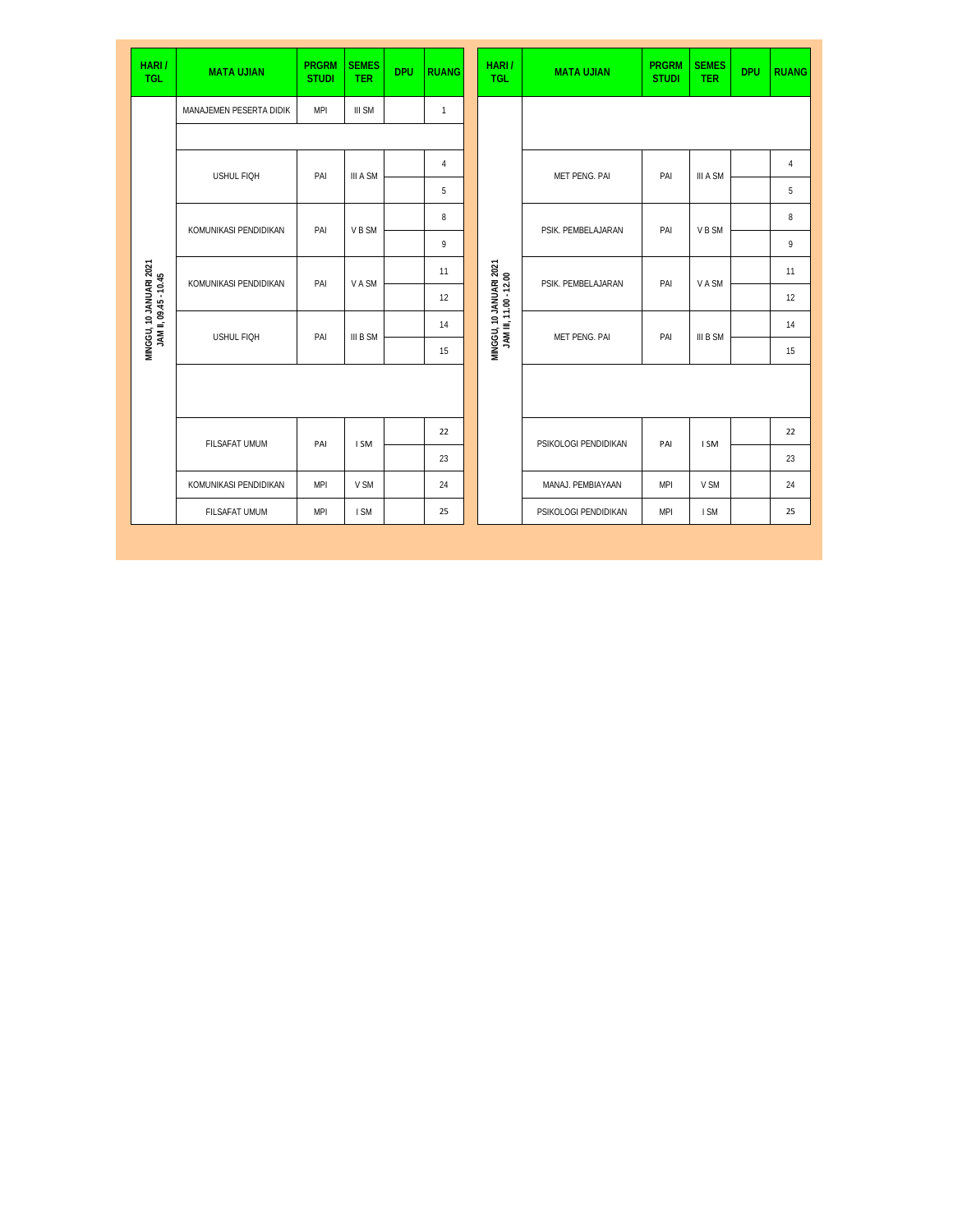| HARI/<br><b>TGL</b>                              | <b>MATA UJIAN</b>       | <b>PRGRM</b><br><b>STUDI</b> | <b>SEMES</b><br><b>TER</b> | <b>DPU</b> | <b>RUANG</b>   |  | HARI/<br><b>TGL</b>                               | <b>MATA UJIAN</b>    | <b>PRGRM</b><br><b>STUDI</b> | <b>SEMES</b><br><b>TER</b> | <b>DPU</b> | <b>RUANG</b> |
|--------------------------------------------------|-------------------------|------------------------------|----------------------------|------------|----------------|--|---------------------------------------------------|----------------------|------------------------------|----------------------------|------------|--------------|
|                                                  | MANAJEMEN PESERTA DIDIK | <b>MPI</b>                   | III SM                     |            | $\mathbf{1}$   |  |                                                   |                      |                              |                            |            |              |
|                                                  |                         |                              |                            |            |                |  |                                                   |                      |                              |                            |            |              |
|                                                  | USHUL FIQH              | PAI                          | III A SM                   |            | $\overline{4}$ |  |                                                   | MET PENG. PAI        | PAI                          | III A SM                   |            | $\sqrt{4}$   |
|                                                  |                         |                              |                            |            | 5              |  |                                                   |                      |                              |                            |            | 5            |
|                                                  | KOMUNIKASI PENDIDIKAN   | PAI                          | V B SM                     |            | 8              |  |                                                   | PSIK. PEMBELAJARAN   | PAI                          | V B SM                     |            | 8            |
|                                                  |                         |                              |                            |            | 9              |  | MINGGU, 10 JANUARI 2021<br>JAM III, 11.00 - 12.00 |                      |                              |                            |            | 9            |
| MINGGU, 10 JANUARI 2021<br>JAM II, 09.45 - 10.45 | KOMUNIKASI PENDIDIKAN   | PAI                          | <b>VASM</b>                |            | 11             |  |                                                   | PSIK. PEMBELAJARAN   | PAI                          | V A SM                     |            | 11           |
|                                                  |                         |                              |                            |            | 12             |  |                                                   |                      |                              |                            |            | 12           |
|                                                  | <b>USHUL FIOH</b>       | PAI                          | III B SM                   |            | 14             |  |                                                   | MET PENG. PAI        | PAI                          | III B SM                   |            | 14           |
|                                                  |                         |                              |                            |            | 15             |  |                                                   |                      |                              |                            |            | 15           |
|                                                  |                         |                              |                            |            |                |  |                                                   |                      |                              |                            |            |              |
|                                                  | <b>FILSAFAT UMUM</b>    | PAI                          | I SM                       |            | 22             |  |                                                   | PSIKOLOGI PENDIDIKAN | PAI                          | I SM                       |            | 22           |
|                                                  |                         |                              |                            |            | 23             |  |                                                   |                      |                              |                            |            | 23           |
|                                                  | KOMUNIKASI PENDIDIKAN   | <b>MPI</b>                   | V SM                       |            | 24             |  |                                                   | MANAJ. PEMBIAYAAN    | <b>MPI</b>                   | V SM                       |            | 24           |
|                                                  | FILSAFAT UMUM           | <b>MPI</b>                   | I SM                       |            | 25             |  |                                                   | PSIKOLOGI PENDIDIKAN | <b>MPI</b>                   | I SM                       |            | 25           |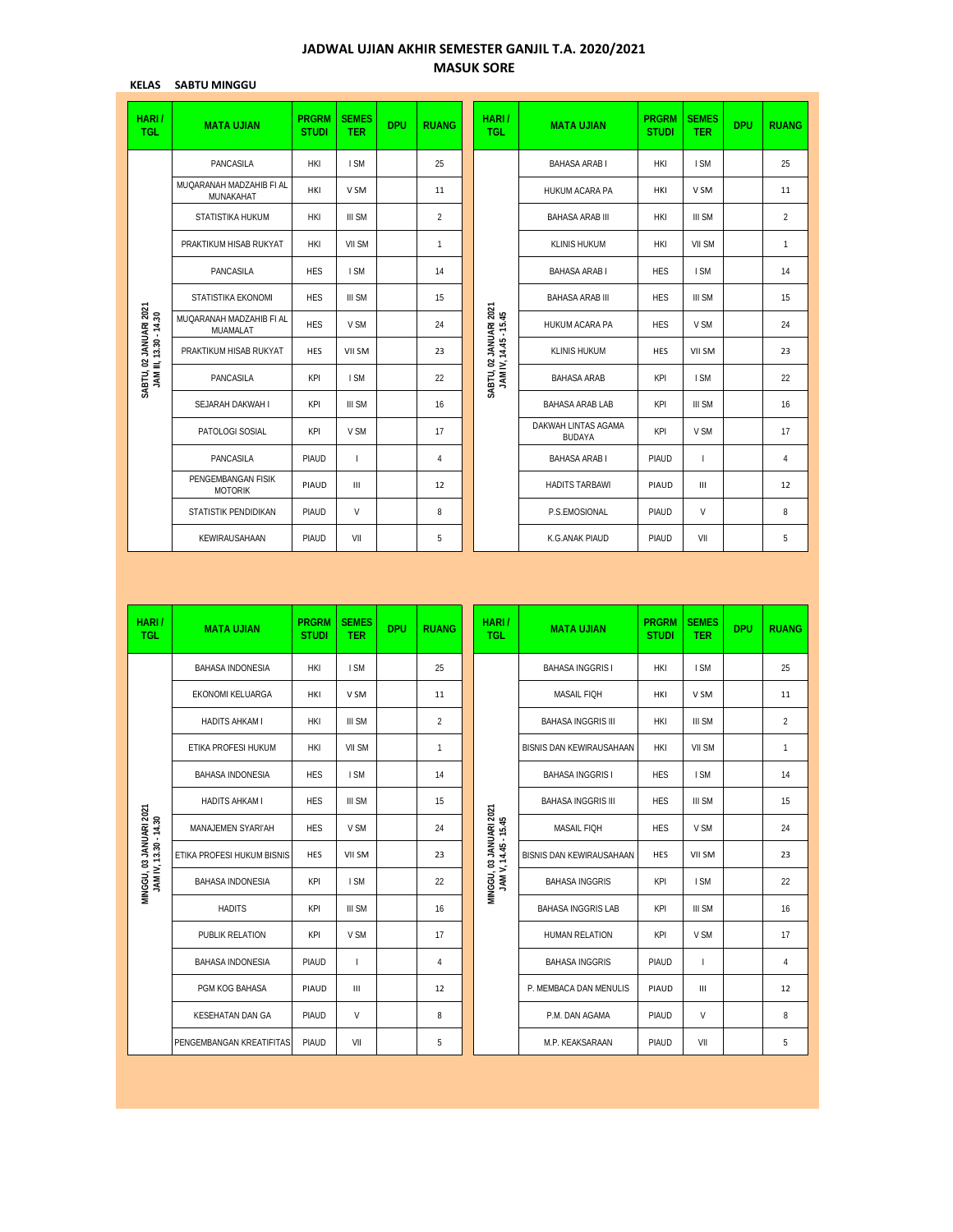## **JADWAL UJIAN AKHIR SEMESTER GANJIL T.A. 2020/2021 MASUK SORE**

**KELAS SABTU MINGGU**

| NELAJ<br>טטטאווויו טופאכ                         |                                       |                              |                            |            |                |                                                 |                                      |                              |                            |            |                |
|--------------------------------------------------|---------------------------------------|------------------------------|----------------------------|------------|----------------|-------------------------------------------------|--------------------------------------|------------------------------|----------------------------|------------|----------------|
| HARI/<br><b>TGL</b>                              | <b>MATA UJIAN</b>                     | <b>PRGRM</b><br><b>STUDI</b> | <b>SEMES</b><br><b>TER</b> | <b>DPU</b> | <b>RUANG</b>   | HARI/<br><b>TGL</b>                             | <b>MATA UJIAN</b>                    | <b>PRGRM</b><br><b>STUDI</b> | <b>SEMES</b><br><b>TER</b> | <b>DPU</b> | <b>RUANG</b>   |
|                                                  | PANCASILA                             | HKI                          | I SM                       |            | 25             |                                                 | <b>BAHASA ARAB I</b>                 | HKI                          | I SM                       |            | 25             |
|                                                  | MUQARANAH MADZAHIB FI AL<br>MUNAKAHAT | HKI                          | V SM                       |            | 11             |                                                 | HUKUM ACARA PA                       | HKI                          | V SM                       |            | 11             |
|                                                  | STATISTIKA HUKUM                      | HKI                          | III SM                     |            | $\overline{2}$ |                                                 | <b>BAHASA ARAB III</b>               | HKI                          | III SM                     |            | $\overline{2}$ |
|                                                  | PRAKTIKUM HISAB RUKYAT                | HKI                          | VII SM                     |            | 1              |                                                 | <b>KLINIS HUKUM</b>                  | HKI                          | VII SM                     |            | 1              |
|                                                  | PANCASILA                             | <b>HES</b>                   | I SM                       |            | 14             |                                                 | <b>BAHASA ARAB I</b>                 | <b>HES</b>                   | I SM                       |            | 14             |
|                                                  | STATISTIKA EKONOMI                    | <b>HES</b>                   | III SM                     |            | 15             |                                                 | <b>BAHASA ARAB III</b>               | <b>HES</b>                   | III SM                     |            | 15             |
| SABTU, 02 JANUARI 2021<br>JAM III, 13.30 - 14.30 | MUQARANAH MADZAHIB FI AL<br>MUAMALAT  | <b>HES</b>                   | V SM                       |            | 24             | SABTU, 02 JANUARI 2021<br>JAM IV, 14.45 - 15.45 | HUKUM ACARA PA                       | <b>HES</b>                   | V SM                       |            | 24             |
|                                                  | PRAKTIKUM HISAB RUKYAT                | <b>HES</b>                   | VII SM                     |            | 23             |                                                 | <b>KLINIS HUKUM</b>                  | <b>HES</b>                   | VII SM                     |            | 23             |
|                                                  | PANCASILA                             | KPI                          | I SM                       |            | 22             |                                                 | <b>BAHASA ARAB</b>                   | KPI                          | I SM                       |            | 22             |
|                                                  | SEJARAH DAKWAH I                      | KPI                          | III SM                     |            | 16             |                                                 | BAHASA ARAB LAB                      | KPI                          | III SM                     |            | 16             |
|                                                  | PATOLOGI SOSIAL                       | KPI                          | V SM                       |            | 17             |                                                 | DAKWAH LINTAS AGAMA<br><b>BUDAYA</b> | KPI                          | V SM                       |            | 17             |
|                                                  | PANCASILA                             | PIAUD                        | $\mathbf{I}$               |            | 4              |                                                 | <b>BAHASA ARAB I</b>                 | PIAUD                        | $\mathbf{I}$               |            | 4              |
|                                                  | PENGEMBANGAN FISIK<br><b>MOTORIK</b>  | PIAUD                        | Ш                          |            | 12             |                                                 | <b>HADITS TARBAWI</b>                | PIAUD                        | Ш                          |            | 12             |
|                                                  | STATISTIK PENDIDIKAN                  | PIAUD                        | V                          |            | 8              |                                                 | P.S.EMOSIONAL                        | PIAUD                        | V                          |            | 8              |
|                                                  | KEWIRAUSAHAAN                         | PIAUD                        | VII                        |            | 5              |                                                 | K.G.ANAK PIAUD                       | PIAUD                        | VII                        |            | 5              |
|                                                  |                                       |                              |                            |            |                |                                                 |                                      |                              |                            |            |                |
| HARI/<br><b>TGL</b>                              | <b>MATA UJIAN</b>                     |                              |                            |            |                |                                                 |                                      |                              |                            |            |                |
|                                                  |                                       | <b>PRGRM</b><br><b>STUDI</b> | <b>SEMES</b><br><b>TER</b> | <b>DPU</b> | <b>RUANG</b>   | HARI/<br><b>TGL</b>                             | <b>MATA UJIAN</b>                    | <b>PRGRM</b><br><b>STUDI</b> | <b>SEMES</b><br><b>TER</b> | <b>DPU</b> | <b>RUANG</b>   |
|                                                  | BAHASA INDONESIA                      | <b>HKI</b>                   | I SM                       |            | 25             |                                                 | <b>BAHASA INGGRIS I</b>              | HKI                          | I SM                       |            | 25             |
|                                                  | EKONOMI KELUARGA                      | HKI                          | V SM                       |            | 11             |                                                 | MASAIL FIQH                          | HKI                          | V SM                       |            | 11             |
|                                                  | HADITS AHKAM I                        | HKI                          | III SM                     |            | $\overline{2}$ |                                                 | <b>BAHASA INGGRIS III</b>            | HKI                          | III SM                     |            | $\overline{2}$ |
|                                                  | ETIKA PROFESI HUKUM                   | HKI                          | VII SM                     |            | $\mathbf{1}$   |                                                 | BISNIS DAN KEWIRAUSAHAAN             | <b>HKI</b>                   | VII SM                     |            | 1              |
|                                                  | BAHASA INDONESIA                      | <b>HES</b>                   | I SM                       |            | 14             |                                                 | <b>BAHASA INGGRIS I</b>              | <b>HES</b>                   | I SM                       |            | 14             |
|                                                  | HADITS AHKAM I                        | <b>HES</b>                   | III SM                     |            | 15             |                                                 | <b>BAHASA INGGRIS III</b>            | <b>HES</b>                   | III SM                     |            | 15             |
|                                                  | MANAJEMEN SYARI'AH                    | <b>HES</b>                   | V SM                       |            | 24             |                                                 | MASAIL FIQH                          | <b>HES</b>                   | V SM                       |            | 24             |
|                                                  | ETIKA PROFESI HUKUM BISNIS            | HES                          | VII SM                     |            | 23             |                                                 | BISNIS DAN KEWIRAUSAHAAN             | HES                          | VII SM                     |            | 23             |
|                                                  | <b>BAHASA INDONESIA</b>               | KPI                          | I SM                       |            | 22             |                                                 | <b>BAHASA INGGRIS</b>                | KPI                          | I SM                       |            | 22             |
| MINGGU, 03 JANUARI 2021<br>JAM IV, 13.30 - 14.30 | <b>HADITS</b>                         | KPI                          | III SM                     |            | 16             | MINGGU, 03 JANUARI 2021<br>JAM V, 14.45 - 15.45 | BAHASA INGGRIS LAB                   | KPI                          | III SM                     |            | 16             |
|                                                  | PUBLIK RELATION                       | KPI                          | V SM                       |            | 17             |                                                 | HUMAN RELATION                       | KPI                          | V SM                       |            | 17             |
|                                                  | <b>BAHASA INDONESIA</b>               | PIAUD                        | L                          |            | 4              |                                                 | <b>BAHASA INGGRIS</b>                | PIAUD                        | $\mathsf{L}$               |            | 4              |
|                                                  | PGM KOG BAHASA                        | PIAUD                        | Ш                          |            | 12             |                                                 | P. MEMBACA DAN MENULIS               | PIAUD                        | Ш                          |            | 12             |
|                                                  | KESEHATAN DAN GA                      | PIAUD                        | V                          |            | 8              |                                                 | P.M. DAN AGAMA                       | PIAUD                        | V                          |            | 8              |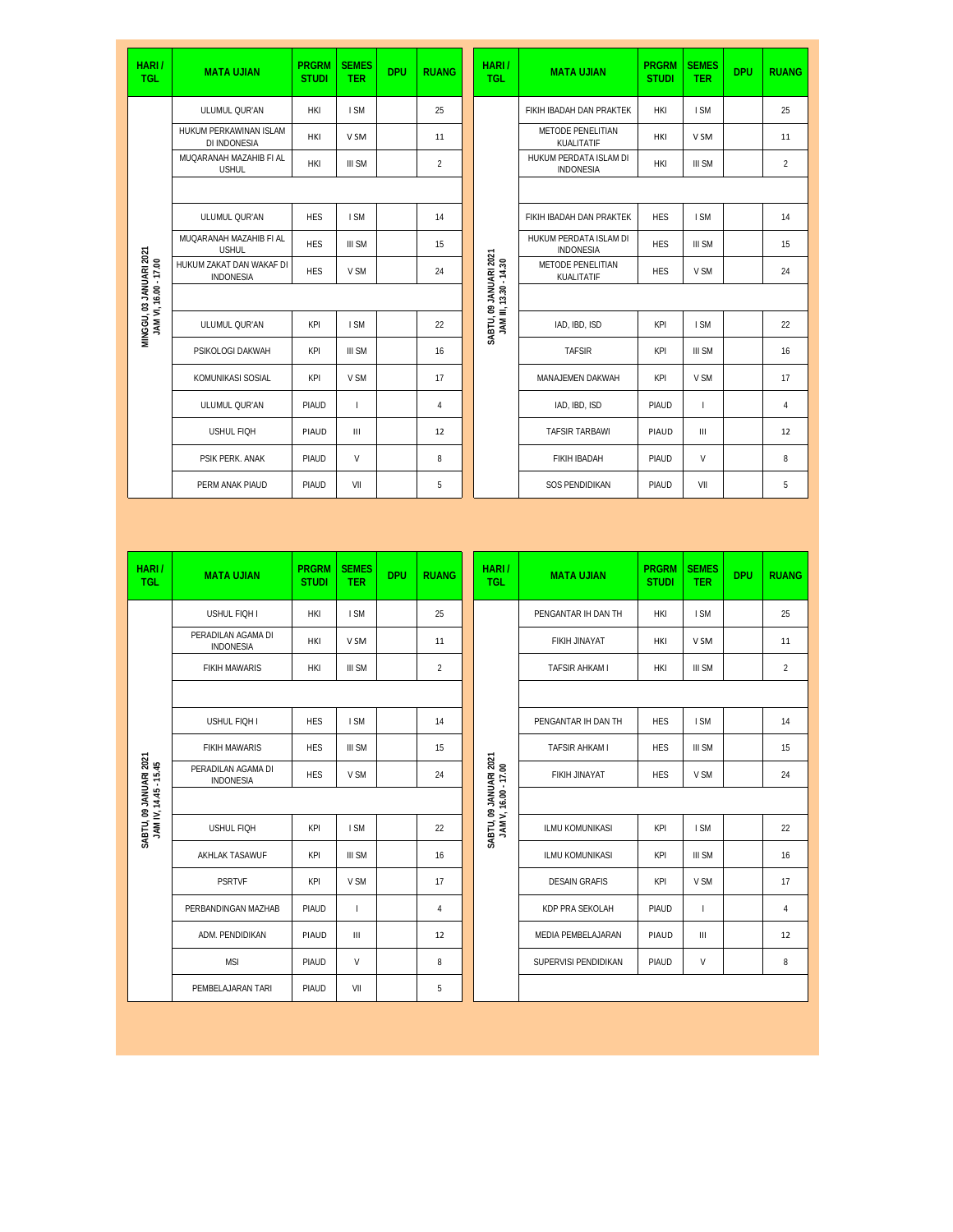| HARI/<br><b>TGL</b>                            | <b>MATA UJIAN</b>                            | <b>PRGRM</b><br><b>STUDI</b> | <b>SEMES</b><br><b>TER</b> | <b>DPU</b> | <b>RUANG</b>   | HARI/<br><b>TGL</b>                              | <b>MATA UJIAN</b>                          | <b>PRGRM</b><br><b>STUDI</b> | <b>SEMES</b><br><b>TER</b> | <b>DPU</b> | <b>RUANG</b>   |
|------------------------------------------------|----------------------------------------------|------------------------------|----------------------------|------------|----------------|--------------------------------------------------|--------------------------------------------|------------------------------|----------------------------|------------|----------------|
|                                                | ULUMUL QUR'AN                                | HKI                          | I SM                       |            | 25             |                                                  | FIKIH IBADAH DAN PRAKTEK                   | HKI                          | I SM                       |            | 25             |
|                                                | HUKUM PERKAWINAN ISLAM<br>DI INDONESIA       | HKI                          | V SM                       |            | 11             |                                                  | METODE PENELITIAN<br>KUALITATIF            | HKI                          | V SM                       |            | 11             |
|                                                | MUQARANAH MAZAHIB FI AL<br><b>USHUL</b>      | <b>HKI</b>                   | III SM                     |            | $\overline{c}$ |                                                  | HUKUM PERDATA ISLAM DI<br><b>INDONESIA</b> | HKI                          | III SM                     |            | $\overline{c}$ |
|                                                |                                              |                              |                            |            |                |                                                  |                                            |                              |                            |            |                |
|                                                | ULUMUL QUR'AN                                | <b>HES</b>                   | I SM                       |            | 14             |                                                  | FIKIH IBADAH DAN PRAKTEK                   | <b>HES</b>                   | I SM                       |            | 14             |
|                                                | MUQARANAH MAZAHIB FI AL<br><b>USHUL</b>      | <b>HES</b>                   | III SM                     |            | 15             |                                                  | HUKUM PERDATA ISLAM DI<br>INDONESIA        | <b>HES</b>                   | III SM                     |            | 15             |
| MINGGU, 03 JANUARI 2021                        | HUKUM ZAKAT DAN WAKAF DI<br><b>INDONESIA</b> | <b>HES</b>                   | V SM                       |            | 24             | SABTU, 09 JANUARI 2021<br>JAM III, 13.30 - 14.30 | METODE PENELITIAN<br>KUALITATIF            | <b>HES</b>                   | V SM                       |            | 24             |
|                                                |                                              |                              |                            |            |                |                                                  |                                            |                              |                            |            |                |
| JAM VI, 16.00 - 17.00                          | ULUMUL QUR'AN                                | KPI                          | I SM                       |            | 22             |                                                  | IAD, IBD, ISD                              | KPI                          | I SM                       |            | 22             |
|                                                | PSIKOLOGI DAKWAH                             | KPI                          | III SM                     |            | 16             |                                                  | <b>TAFSIR</b>                              | KPI                          | III SM                     |            | 16             |
|                                                | KOMUNIKASI SOSIAL                            | KPI                          | V SM                       |            | 17             |                                                  | MANAJEMEN DAKWAH                           | KPI                          | V SM                       |            | 17             |
|                                                | ULUMUL QUR'AN                                | PIAUD                        | T                          |            | 4              |                                                  | IAD, IBD, ISD                              | PIAUD                        | $\mathbf{I}$               |            | 4              |
|                                                | <b>USHUL FIQH</b>                            | PIAUD                        | Ш                          |            | 12             |                                                  | <b>TAFSIR TARBAWI</b>                      | PIAUD                        | Ш                          |            | 12             |
|                                                | PSIK PERK. ANAK                              | PIAUD                        | V                          |            | 8              |                                                  | FIKIH IBADAH                               | PIAUD                        | V                          |            | 8              |
|                                                | PERM ANAK PIAUD                              | PIAUD                        | VII                        |            | 5              |                                                  | SOS PENDIDIKAN                             | PIAUD                        | VII                        |            | 5              |
|                                                |                                              |                              |                            |            |                |                                                  |                                            |                              |                            |            |                |
|                                                |                                              |                              |                            |            |                |                                                  |                                            |                              |                            |            |                |
| HARI/<br><b>TGL</b>                            | <b>MATA UJIAN</b>                            | <b>PRGRM</b><br><b>STUDI</b> | <b>SEMES</b><br><b>TER</b> | <b>DPU</b> | <b>RUANG</b>   | HARI/<br><b>TGL</b>                              | <b>MATA UJIAN</b>                          | <b>PRGRM</b><br><b>STUDI</b> | <b>SEMES</b><br><b>TER</b> | <b>DPU</b> | <b>RUANG</b>   |
|                                                | USHUL FIQH I                                 | HKI                          | I SM                       |            | 25             |                                                  | PENGANTAR IH DAN TH                        | HKI                          | I SM                       |            | 25             |
|                                                | PERADILAN AGAMA DI<br><b>INDONESIA</b>       | HKI                          | V SM                       |            | 11             |                                                  | FIKIH JINAYAT                              | HKI                          | V SM                       |            | 11             |
|                                                | <b>FIKIH MAWARIS</b>                         | <b>HKI</b>                   | III SM                     |            | $\overline{c}$ |                                                  | TAFSIR AHKAM I                             | HKI                          | III SM                     |            | $\overline{2}$ |
|                                                |                                              |                              |                            |            |                |                                                  |                                            |                              |                            |            |                |
|                                                | USHUL FIQH I                                 | <b>HES</b>                   | I SM                       |            | 14             |                                                  | PENGANTAR IH DAN TH                        | <b>HES</b>                   | I SM                       |            | 14             |
|                                                | <b>FIKIH MAWARIS</b>                         | <b>HES</b>                   | III SM                     |            | 15             |                                                  | TAFSIR AHKAM I                             | <b>HES</b>                   | III SM                     |            | 15             |
|                                                | PERADILAN AGAMA DI<br><b>INDONESIA</b>       | <b>HES</b>                   | V SM                       |            | 24             |                                                  | FIKIH JINAYAT                              | <b>HES</b>                   | V SM                       |            | 24             |
| SABTU, 09 JANUARI 2021<br>JAMIN, 14.45 - 15.45 |                                              |                              |                            |            |                | SABTU, 09 JANUARI 2021<br>JAM V, 16.00 - 17.00   |                                            |                              |                            |            |                |
|                                                | <b>USHUL FIQH</b>                            | KPI                          | I SM                       |            | 22             |                                                  | ILMU KOMUNIKASI                            | KPI                          | I SM                       |            | 22             |
|                                                | AKHLAK TASAWUF                               | KPI                          | III SM                     |            | 16             |                                                  | ILMU KOMUNIKASI                            | KPI                          | III SM                     |            | 16             |
|                                                | <b>PSRTVF</b>                                | KPI                          | V SM                       |            | 17             |                                                  | <b>DESAIN GRAFIS</b>                       | KPI                          | V SM                       |            | 17             |
|                                                | PERBANDINGAN MAZHAB                          | PIAUD                        | L                          |            | 4              |                                                  | KDP PRA SEKOLAH                            | PIAUD                        | $\mathbf{I}$               |            | 4              |
|                                                | ADM. PENDIDIKAN                              | PIAUD                        | Ш                          |            | 12             |                                                  | MEDIA PEMBELAJARAN                         | PIAUD                        | Ш                          |            | 12             |
|                                                | <b>MSI</b>                                   | PIAUD                        | V                          |            | 8              |                                                  | SUPERVISI PENDIDIKAN                       | PIAUD                        | V                          |            | 8              |
|                                                | PEMBELAJARAN TARI                            | PIAUD                        | VII                        |            | 5              |                                                  |                                            |                              |                            |            |                |